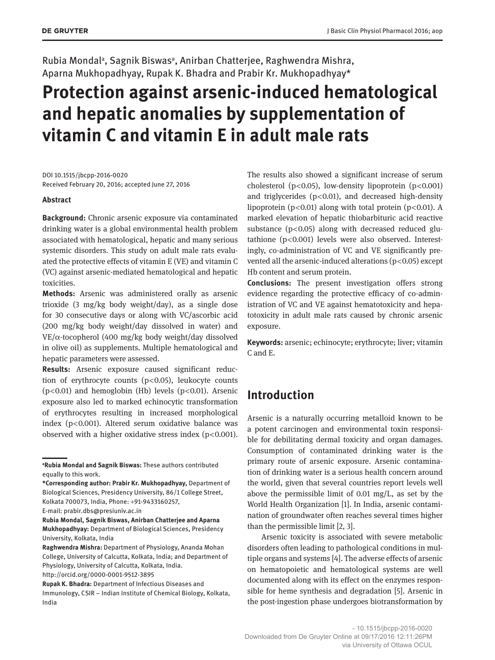Rubia Mondal<sup>a</sup>, Sagnik Biswas<sup>a</sup>, Anirban Chatterjee, Raghwendra Mishra, Aparna Mukhopadhyay, Rupak K. Bhadra and Prabir Kr. Mukhopadhyay\*

# **Protection against arsenic-induced hematological and hepatic anomalies by supplementation of vitamin C and vitamin E in adult male rats**

DOI 10.1515/jbcpp-2016-0020 Received February 20, 2016; accepted June 27, 2016

#### **Abstract**

**Background:** Chronic arsenic exposure via contaminated drinking water is a global environmental health problem associated with hematological, hepatic and many serious systemic disorders. This study on adult male rats evaluated the protective effects of vitamin E (VE) and vitamin C (VC) against arsenic-mediated hematological and hepatic toxicities.

**Methods:** Arsenic was administered orally as arsenic trioxide (3 mg/kg body weight/day), as a single dose for 30 consecutive days or along with VC/ascorbic acid (200 mg/kg body weight/day dissolved in water) and VE/α-tocopherol (400 mg/kg body weight/day dissolved in olive oil) as supplements. Multiple hematological and hepatic parameters were assessed.

**Results:** Arsenic exposure caused significant reduction of erythrocyte counts (p < 0.05), leukocyte counts  $(p<0.01)$  and hemoglobin (Hb) levels  $(p<0.01)$ . Arsenic exposure also led to marked echinocytic transformation of erythrocytes resulting in increased morphological index ( $p$ < $0.001$ ). Altered serum oxidative balance was observed with a higher oxidative stress index ( $p$ <0.001).

The results also showed a significant increase of serum cholesterol ( $p$ <0.05), low-density lipoprotein ( $p$ <0.001) and triglycerides ( $p$ <0.01), and decreased high-density lipoprotein (p $<$ 0.01) along with total protein (p $<$ 0.01). A marked elevation of hepatic thiobarbituric acid reactive substance ( $p$ <0.05) along with decreased reduced glutathione (p<0.001) levels were also observed. Interestingly, co-administration of VC and VE significantly prevented all the arsenic-induced alterations  $(p<0.05)$  except Hb content and serum protein.

**Conclusions:** The present investigation offers strong evidence regarding the protective efficacy of co-administration of VC and VE against hematotoxicity and hepatotoxicity in adult male rats caused by chronic arsenic exposure.

**Keywords:** arsenic; echinocyte; erythrocyte; liver; vitamin C and E.

# **Introduction**

Arsenic is a naturally occurring metalloid known to be a potent carcinogen and environmental toxin responsible for debilitating dermal toxicity and organ damages. Consumption of contaminated drinking water is the primary route of arsenic exposure. Arsenic contamination of drinking water is a serious health concern around the world, given that several countries report levels well above the permissible limit of 0.01 mg/L, as set by the World Health Organization [1]. In India, arsenic contamination of groundwater often reaches several times higher than the permissible limit [2, 3].

Arsenic toxicity is associated with severe metabolic disorders often leading to pathological conditions in multiple organs and systems [4]. The adverse effects of arsenic on hematopoietic and hematological systems are well documented along with its effect on the enzymes responsible for heme synthesis and degradation [5]. Arsenic in the post-ingestion phase undergoes biotransformation by

**<sup>a</sup>Rubia Mondal and Sagnik Biswas:** These authors contributed equally to this work.

**<sup>\*</sup>Corresponding author: Prabir Kr. Mukhopadhyay,** Department of Biological Sciences, Presidency University, 86/1 College Street, Kolkata 700073, India, Phone: +91-9433160257,

E-mail: prabir.dbs@presiuniv.ac.in

**Rubia Mondal, Sagnik Biswas, Anirban Chatterjee and Aparna Mukhopadhyay:** Department of Biological Sciences, Presidency University, Kolkata, India

**Raghwendra Mishra:** Department of Physiology, Ananda Mohan College, University of Calcutta, Kolkata, India; and Department of Physiology, University of Calcutta, Kolkata, India.

http://orcid.org/0000-0001-9512-3895

**Rupak K. Bhadra:** Department of Infectious Diseases and Immunology, CSIR – Indian Institute of Chemical Biology, Kolkata, India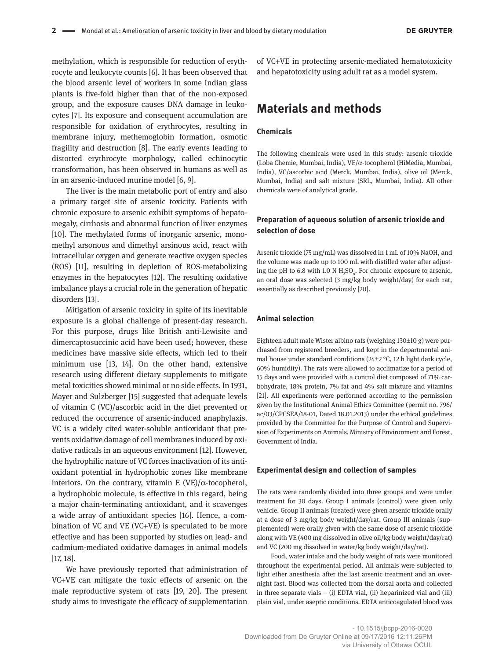methylation, which is responsible for reduction of erythrocyte and leukocyte counts [6]. It has been observed that the blood arsenic level of workers in some Indian glass plants is five-fold higher than that of the non-exposed group, and the exposure causes DNA damage in leukocytes [7]. Its exposure and consequent accumulation are responsible for oxidation of erythrocytes, resulting in membrane injury, methemoglobin formation, osmotic fragility and destruction [8]. The early events leading to distorted erythrocyte morphology, called echinocytic transformation, has been observed in humans as well as in an arsenic-induced murine model [6, 9].

The liver is the main metabolic port of entry and also a primary target site of arsenic toxicity. Patients with chronic exposure to arsenic exhibit symptoms of hepatomegaly, cirrhosis and abnormal function of liver enzymes [10]. The methylated forms of inorganic arsenic, monomethyl arsonous and dimethyl arsinous acid, react with intracellular oxygen and generate reactive oxygen species (ROS) [11], resulting in depletion of ROS-metabolizing enzymes in the hepatocytes [12]. The resulting oxidative imbalance plays a crucial role in the generation of hepatic disorders [13].

Mitigation of arsenic toxicity in spite of its inevitable exposure is a global challenge of present-day research. For this purpose, drugs like British anti-Lewisite and dimercaptosuccinic acid have been used; however, these medicines have massive side effects, which led to their minimum use [13, 14]. On the other hand, extensive research using different dietary supplements to mitigate metal toxicities showed minimal or no side effects. In 1931, Mayer and Sulzberger [15] suggested that adequate levels of vitamin C (VC)/ascorbic acid in the diet prevented or reduced the occurrence of arsenic-induced anaphylaxis. VC is a widely cited water-soluble antioxidant that prevents oxidative damage of cell membranes induced by oxidative radicals in an aqueous environment [12]. However, the hydrophilic nature of VC forces inactivation of its antioxidant potential in hydrophobic zones like membrane interiors. On the contrary, vitamin E (VE)/ $\alpha$ -tocopherol, a hydrophobic molecule, is effective in this regard, being a major chain-terminating antioxidant, and it scavenges a wide array of antioxidant species [16]. Hence, a combination of VC and VE (VC+VE) is speculated to be more effective and has been supported by studies on lead- and cadmium-mediated oxidative damages in animal models [17, 18].

We have previously reported that administration of VC+VE can mitigate the toxic effects of arsenic on the male reproductive system of rats [19, 20]. The present study aims to investigate the efficacy of supplementation

of VC+VE in protecting arsenic-mediated hematotoxicity and hepatotoxicity using adult rat as a model system.

# **Materials and methods**

#### **Chemicals**

The following chemicals were used in this study: arsenic trioxide (Loba Chemie, Mumbai, India), VE/α-tocopherol (HiMedia, Mumbai, India), VC/ascorbic acid (Merck, Mumbai, India), olive oil (Merck, Mumbai, India) and salt mixture (SRL, Mumbai, India). All other chemicals were of analytical grade.

### **Preparation of aqueous solution of arsenic trioxide and selection of dose**

Arsenic trioxide (75 mg/mL) was dissolved in 1 mL of 10% NaOH, and the volume was made up to 100 mL with distilled water after adjusting the pH to 6.8 with 1.0 N  $H_2SO_4$ . For chronic exposure to arsenic, an oral dose was selected (3 mg/kg body weight/day) for each rat, essentially as described previously [20].

#### **Animal selection**

Eighteen adult male Wister albino rats (weighing 130±10 g) were purchased from registered breeders, and kept in the departmental animal house under standard conditions ( $24\pm2$  °C, 12 h light dark cycle, 60% humidity). The rats were allowed to acclimatize for a period of 15 days and were provided with a control diet composed of 71% carbohydrate, 18% protein, 7% fat and 4% salt mixture and vitamins [21]. All experiments were performed according to the permission given by the Institutional Animal Ethics Committee (permit no. 796/ ac/03/CPCSEA/18-01, Dated 18.01.2013) under the ethical guidelines provided by the Committee for the Purpose of Control and Supervision of Experiments on Animals, Ministry of Environment and Forest, Government of India.

#### **Experimental design and collection of samples**

The rats were randomly divided into three groups and were under treatment for 30 days. Group I animals (control) were given only vehicle. Group II animals (treated) were given arsenic trioxide orally at a dose of 3 mg/kg body weight/day/rat. Group III animals (supplemented) were orally given with the same dose of arsenic trioxide along with VE (400 mg dissolved in olive oil/kg body weight/day/rat) and VC (200 mg dissolved in water/kg body weight/day/rat).

Food, water intake and the body weight of rats were monitored throughout the experimental period. All animals were subjected to light ether anesthesia after the last arsenic treatment and an overnight fast. Blood was collected from the dorsal aorta and collected in three separate vials – (i) EDTA vial, (ii) heparinized vial and (iii) plain vial, under aseptic conditions. EDTA anticoagulated blood was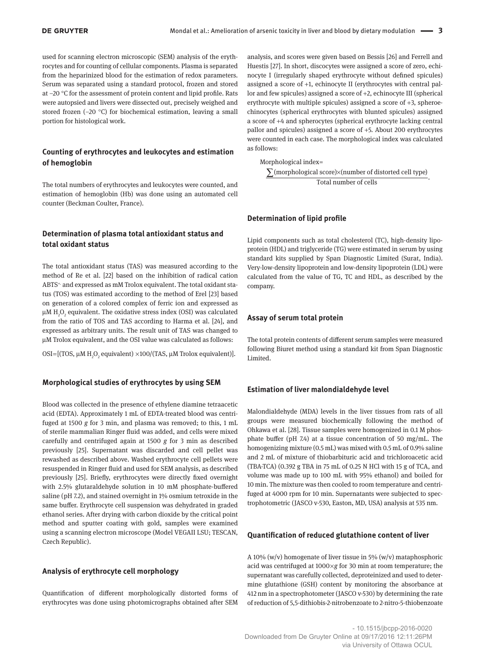used for scanning electron microscopic (SEM) analysis of the erythrocytes and for counting of cellular components. Plasma is separated from the heparinized blood for the estimation of redox parameters. Serum was separated using a standard protocol, frozen and stored at –20 °C for the assessment of protein content and lipid profile. Rats were autopsied and livers were dissected out, precisely weighed and stored frozen (-20 °C) for biochemical estimation, leaving a small portion for histological work.

### **Counting of erythrocytes and leukocytes and estimation of hemoglobin**

The total numbers of erythrocytes and leukocytes were counted, and estimation of hemoglobin (Hb) was done using an automated cell counter (Beckman Coulter, France).

### **Determination of plasma total antioxidant status and total oxidant status**

The total antioxidant status (TAS) was measured according to the method of Re et al. [22] based on the inhibition of radical cation ABTS+. and expressed as mM Trolox equivalent. The total oxidant status (TOS) was estimated according to the method of Erel [23] based on generation of a colored complex of ferric ion and expressed as  $\mu$ M H<sub>2</sub>O<sub>2</sub> equivalent. The oxidative stress index (OSI) was calculated from the ratio of TOS and TAS according to Harma et al. [24], and expressed as arbitrary units. The result unit of TAS was changed to µM Trolox equivalent, and the OSI value was calculated as follows:

OSI=[(TOS,  $\mu$ M H<sub>2</sub>O<sub>2</sub> equivalent) ×100/(TAS,  $\mu$ M Trolox equivalent)].

#### **Morphological studies of erythrocytes by using SEM**

Blood was collected in the presence of ethylene diamine tetraacetic acid (EDTA). Approximately 1 mL of EDTA-treated blood was centrifuged at 1500 *g* for 3 min, and plasma was removed; to this, 1 mL of sterile mammalian Ringer fluid was added, and cells were mixed carefully and centrifuged again at 1500 *g* for 3 min as described previously [25]. Supernatant was discarded and cell pellet was rewashed as described above. Washed erythrocyte cell pellets were resuspended in Ringer fluid and used for SEM analysis, as described previously [25]. Briefly, erythrocytes were directly fixed overnight with 2.5% glutaraldehyde solution in 10 mM phosphate-buffered saline (pH 7.2), and stained overnight in 1% osmium tetroxide in the same buffer. Erythrocyte cell suspension was dehydrated in graded ethanol series. After drying with carbon dioxide by the critical point method and sputter coating with gold, samples were examined using a scanning electron microscope (Model VEGAII LSU; TESCAN, Czech Republic).

#### **Analysis of erythrocyte cell morphology**

Quantification of different morphologically distorted forms of erythrocytes was done using photomicrographs obtained after SEM

analysis, and scores were given based on Bessis [26] and Ferrell and Huestis [27]. In short, discocytes were assigned a score of zero, echinocyte I (irregularly shaped erythrocyte without defined spicules) assigned a score of +1, echinocyte II (erythrocytes with central pallor and few spicules) assigned a score of +2, echinocyte III (spherical erythrocyte with multiple spicules) assigned a score of +3, spheroechinocytes (spherical erythrocytes with blunted spicules) assigned a score of +4 and spherocytes (spherical erythrocyte lacking central pallor and spicules) assigned a score of +5. About 200 erythrocytes were counted in each case. The morphological index was calculated as follows:

Morphological index=

∑(morphological score)×(number of distorted cell type) . Total number of cells

#### **Determination of lipid profile**

Lipid components such as total cholesterol (TC), high-density lipoprotein (HDL) and triglyceride (TG) were estimated in serum by using standard kits supplied by Span Diagnostic Limited (Surat, India). Very-low-density lipoprotein and low-density lipoprotein (LDL) were calculated from the value of TG, TC and HDL, as described by the company.

#### **Assay of serum total protein**

The total protein contents of different serum samples were measured following Biuret method using a standard kit from Span Diagnostic Limited.

#### **Estimation of liver malondialdehyde level**

Malondialdehyde (MDA) levels in the liver tissues from rats of all groups were measured biochemically following the method of Ohkawa et al. [28]. Tissue samples were homogenized in 0.1 M phosphate buffer (pH 7.4) at a tissue concentration of 50 mg/mL. The homogenizing mixture (0.5 mL) was mixed with 0.5 mL of 0.9% saline and 2 mL of mixture of thiobarbituric acid and trichloroacetic acid (TBA-TCA) (0.392 g TBA in 75 mL of 0.25 N HCl with 15 g of TCA, and volume was made up to 100 mL with 95% ethanol) and boiled for 10 min. The mixture was then cooled to room temperature and centrifuged at 4000 rpm for 10 min. Supernatants were subjected to spectrophotometric (JASCO v-530, Easton, MD, USA) analysis at 535 nm.

#### **Quantification of reduced glutathione content of liver**

A 10% (w/v) homogenate of liver tissue in 5% (w/v) mataphosphoric acid was centrifuged at 1000 ×*g* for 30 min at room temperature; the supernatant was carefully collected, deproteinized and used to determine glutathione (GSH) content by monitoring the absorbance at 412 nm in a spectrophotometer (JASCO v-530) by determining the rate of reduction of 5,5-dithiobis-2-nitrobenzoate to 2-nitro-5-thiobenzoate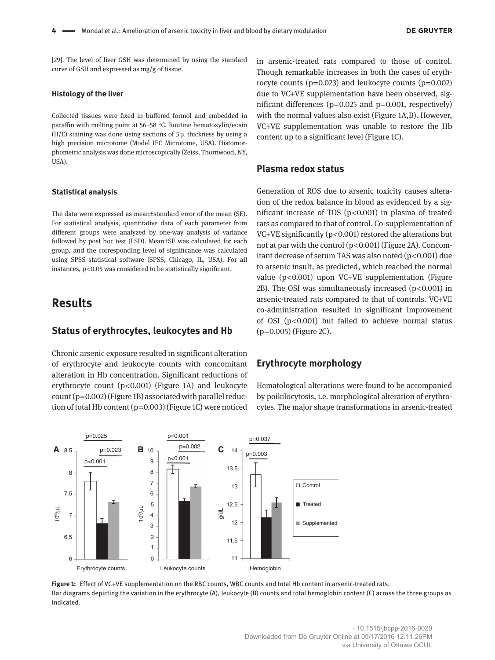[29]. The level of liver GSH was determined by using the standard curve of GSH and expressed as mg/g of tissue.

#### **Histology of the liver**

Collected tissues were fixed in buffered formol and embedded in paraffin with melting point at 56–58 °C. Routine hematoxylin/eosin  $(H/E)$  staining was done using sections of 5  $\mu$  thickness by using a high precision microtome (Model IEC Microtome, USA). Histomorphometric analysis was done microscopically (Zeiss, Thornwood, NY, USA).

#### **Statistical analysis**

The data were expressed as mean±standard error of the mean (SE). For statistical analysis, quantitative data of each parameter from different groups were analyzed by one-way analysis of variance followed by post hoc test (LSD). Mean±SE was calculated for each group, and the corresponding level of significance was calculated using SPSS statistical software (SPSS, Chicago, IL, USA). For all instances,  $p$ < $0.05$  was considered to be statistically significant.

# **Results**

### **Status of erythrocytes, leukocytes and Hb**

Chronic arsenic exposure resulted in significant alteration of erythrocyte and leukocyte counts with concomitant alteration in Hb concentration. Significant reductions of erythrocyte count (p<0.001) (Figure 1A) and leukocyte count (p=0.002) (Figure 1B) associated with parallel reduction of total Hb content (p=0.003) (Figure 1C) were noticed in arsenic-treated rats compared to those of control. Though remarkable increases in both the cases of erythrocyte counts ( $p=0.023$ ) and leukocyte counts ( $p=0.002$ ) due to VC+VE supplementation have been observed, significant differences ( $p=0.025$  and  $p=0.001$ , respectively) with the normal values also exist (Figure 1A,B). However, VC+VE supplementation was unable to restore the Hb content up to a significant level (Figure 1C).

# **Plasma redox status**

Generation of ROS due to arsenic toxicity causes alteration of the redox balance in blood as evidenced by a significant increase of TOS ( $p$ <0.001) in plasma of treated rats as compared to that of control. Co-supplementation of VC+VE significantly ( $p$ <0.001) restored the alterations but not at par with the control (p<0.001) (Figure 2A). Concomitant decrease of serum TAS was also noted (p<0.001) due to arsenic insult, as predicted, which reached the normal value  $(p<0.001)$  upon VC+VE supplementation (Figure 2B). The OSI was simultaneously increased  $(p<0.001)$  in arsenic-treated rats compared to that of controls. VC+VE co-administration resulted in significant improvement of OSI ( $p$ <0.001) but failed to achieve normal status  $(p=0.005)$  (Figure 2C).

# **Erythrocyte morphology**

Hematological alterations were found to be accompanied by poikilocytosis, i.e. morphological alteration of erythrocytes. The major shape transformations in arsenic-treated



**Figure 1:** Effect of VC+VE supplementation on the RBC counts, WBC counts and total Hb content in arsenic-treated rats. Bar diagrams depicting the variation in the erythrocyte (A), leukocyte (B) counts and total hemoglobin content (C) across the three groups as indicated.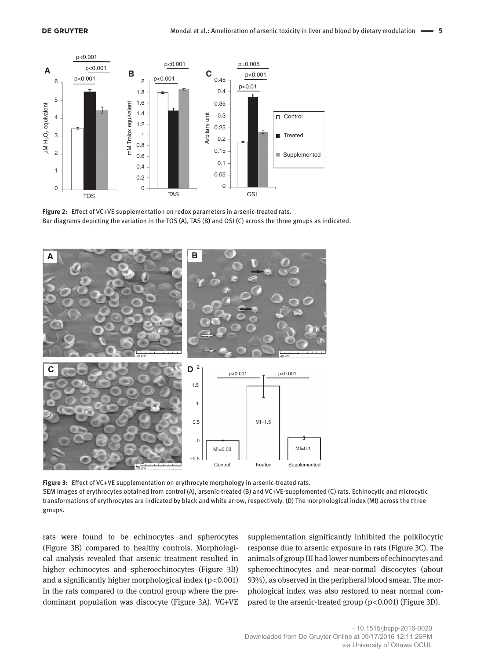

**Figure 2:** Effect of VC+VE supplementation on redox parameters in arsenic-treated rats. Bar diagrams depicting the variation in the TOS (A), TAS (B) and OSI (C) across the three groups as indicated.



**Figure 3:** Effect of VC+VE supplementation on erythrocyte morphology in arsenic-treated rats. SEM images of erythrocytes obtained from control (A), arsenic-treated (B) and VC+VE-supplemented (C) rats. Echinocytic and microcytic transformations of erythrocytes are indicated by black and white arrow, respectively. (D) The morphological index (MI) across the three groups.

rats were found to be echinocytes and spherocytes (Figure 3B) compared to healthy controls. Morphological analysis revealed that arsenic treatment resulted in higher echinocytes and spheroechinocytes (Figure 3B) and a significantly higher morphological index  $(p<0.001)$ in the rats compared to the control group where the predominant population was discocyte (Figure 3A). VC+VE

supplementation significantly inhibited the poikilocytic response due to arsenic exposure in rats (Figure 3C). The animals of group III had lower numbers of echinocytes and spheroechinocytes and near-normal discocytes (about 93%), as observed in the peripheral blood smear. The morphological index was also restored to near normal compared to the arsenic-treated group (p<0.001) (Figure 3D).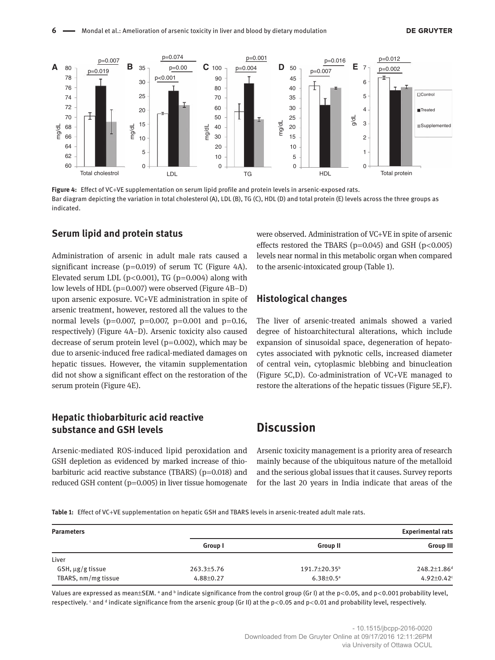

**Figure 4:** Effect of VC+VE supplementation on serum lipid profile and protein levels in arsenic-exposed rats. Bar diagram depicting the variation in total cholesterol (A), LDL (B), TG (C), HDL (D) and total protein (E) levels across the three groups as indicated.

# **Serum lipid and protein status**

Administration of arsenic in adult male rats caused a significant increase ( $p=0.019$ ) of serum TC (Figure 4A). Elevated serum LDL ( $p$ <0.001), TG ( $p$ =0.004) along with low levels of HDL ( $p=0.007$ ) were observed (Figure 4B–D) upon arsenic exposure. VC+VE administration in spite of arsenic treatment, however, restored all the values to the normal levels ( $p=0.007$ ,  $p=0.007$ ,  $p=0.001$  and  $p=0.16$ , respectively) (Figure 4A–D). Arsenic toxicity also caused decrease of serum protein level ( $p=0.002$ ), which may be due to arsenic-induced free radical-mediated damages on hepatic tissues. However, the vitamin supplementation did not show a significant effect on the restoration of the serum protein (Figure 4E).

# **Hepatic thiobarbituric acid reactive substance and GSH levels**

Arsenic-mediated ROS-induced lipid peroxidation and GSH depletion as evidenced by marked increase of thiobarbituric acid reactive substance (TBARS) ( $p=0.018$ ) and reduced GSH content (p=0.005) in liver tissue homogenate

were observed. Administration of VC+VE in spite of arsenic effects restored the TBARS ( $p=0.045$ ) and GSH ( $p<0.005$ ) levels near normal in this metabolic organ when compared to the arsenic-intoxicated group (Table 1).

# **Histological changes**

The liver of arsenic-treated animals showed a varied degree of histoarchitectural alterations, which include expansion of sinusoidal space, degeneration of hepatocytes associated with pyknotic cells, increased diameter of central vein, cytoplasmic blebbing and binucleation (Figure 5C,D). Co-administration of VC+VE managed to restore the alterations of the hepatic tissues (Figure 5E,F).

# **Discussion**

Arsenic toxicity management is a priority area of research mainly because of the ubiquitous nature of the metalloid and the serious global issues that it causes. Survey reports for the last 20 years in India indicate that areas of the

**Table 1:** Effect of VC+VE supplementation on hepatic GSH and TBARS levels in arsenic-treated adult male rats.

| <b>Parameters</b>     | <b>Experimental rats</b> |                           |                              |
|-----------------------|--------------------------|---------------------------|------------------------------|
|                       | Group I                  | <b>Group II</b>           | <b>Group III</b>             |
| Liver                 |                          |                           |                              |
| $GSH, \mu g/g$ tissue | 263.3±5.76               | 191.7±20.35 <sup>b</sup>  | 248.2±1.86 <sup>d</sup>      |
| TBARS, nm/mg tissue   | 4.88±0.27                | $6.38 \pm 0.5^{\text{a}}$ | $4.92 \pm 0.42$ <sup>c</sup> |

Values are expressed as mean $\pm$ SEM. ª and <sup>b</sup> indicate significance from the control group (Gr I) at the p<0.05, and p<0.001 probability level, respectively. <sup>c</sup> and <sup>d</sup> indicate significance from the arsenic group (Gr II) at the p<0.05 and p<0.01 and probability level, respectively.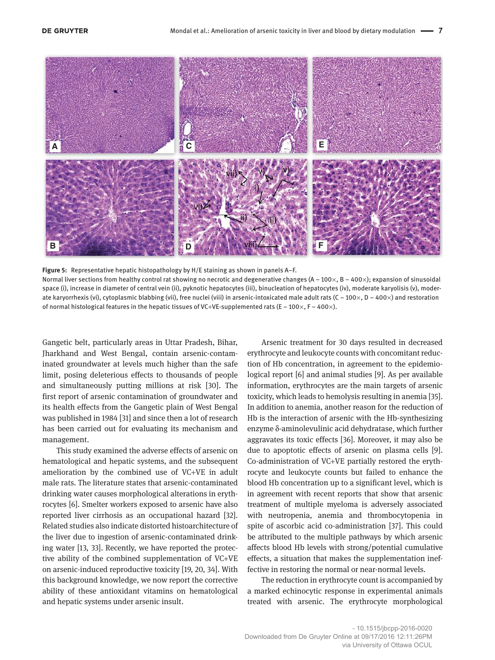

**Figure 5:** Representative hepatic histopathology by H/E staining as shown in panels A–F.

Normal liver sections from healthy control rat showing no necrotic and degenerative changes  $(A - 100 \times, B - 400 \times)$ ; expansion of sinusoidal space (i), increase in diameter of central vein (ii), pyknotic hepatocytes (iii), binucleation of hepatocytes (iv), moderate karyolisis (v), moderate karyorrhexis (vi), cytoplasmic blabbing (vii), free nuclei (viii) in arsenic-intoxicated male adult rats (C - 100 $\times$ , D - 400 $\times$ ) and restoration of normal histological features in the hepatic tissues of VC+VE-supplemented rats (E –  $100 \times$ , F –  $400 \times$ ).

Gangetic belt, particularly areas in Uttar Pradesh, Bihar, Jharkhand and West Bengal, contain arsenic-contaminated groundwater at levels much higher than the safe limit, posing deleterious effects to thousands of people and simultaneously putting millions at risk [30]. The first report of arsenic contamination of groundwater and its health effects from the Gangetic plain of West Bengal was published in 1984 [31] and since then a lot of research has been carried out for evaluating its mechanism and management.

This study examined the adverse effects of arsenic on hematological and hepatic systems, and the subsequent amelioration by the combined use of VC+VE in adult male rats. The literature states that arsenic-contaminated drinking water causes morphological alterations in erythrocytes [6]. Smelter workers exposed to arsenic have also reported liver cirrhosis as an occupational hazard [32]. Related studies also indicate distorted histoarchitecture of the liver due to ingestion of arsenic-contaminated drinking water [13, 33]. Recently, we have reported the protective ability of the combined supplementation of VC+VE on arsenic-induced reproductive toxicity [19, 20, 34]. With this background knowledge, we now report the corrective ability of these antioxidant vitamins on hematological and hepatic systems under arsenic insult.

Arsenic treatment for 30 days resulted in decreased erythrocyte and leukocyte counts with concomitant reduction of Hb concentration, in agreement to the epidemiological report [6] and animal studies [9]. As per available information, erythrocytes are the main targets of arsenic toxicity, which leads to hemolysis resulting in anemia [35]. In addition to anemia, another reason for the reduction of Hb is the interaction of arsenic with the Hb-synthesizing enzyme δ-aminolevulinic acid dehydratase, which further aggravates its toxic effects [36]. Moreover, it may also be due to apoptotic effects of arsenic on plasma cells [9]. Co-administration of VC+VE partially restored the erythrocyte and leukocyte counts but failed to enhance the blood Hb concentration up to a significant level, which is in agreement with recent reports that show that arsenic treatment of multiple myeloma is adversely associated with neutropenia, anemia and thrombocytopenia in spite of ascorbic acid co-administration [37]. This could be attributed to the multiple pathways by which arsenic affects blood Hb levels with strong/potential cumulative effects, a situation that makes the supplementation ineffective in restoring the normal or near-normal levels.

The reduction in erythrocyte count is accompanied by a marked echinocytic response in experimental animals treated with arsenic. The erythrocyte morphological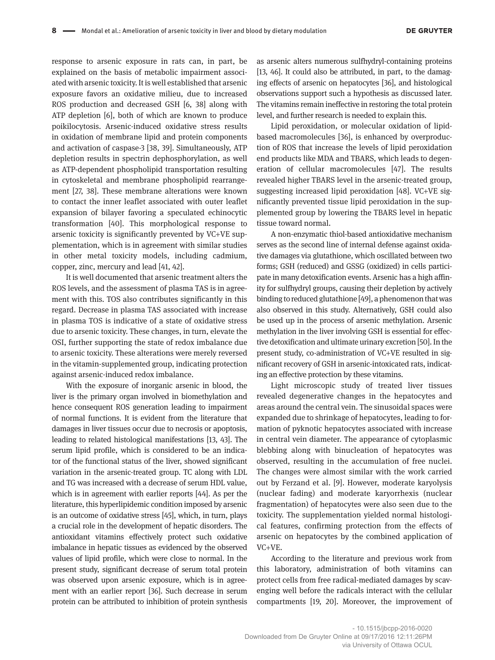response to arsenic exposure in rats can, in part, be explained on the basis of metabolic impairment associated with arsenic toxicity. It is well established that arsenic exposure favors an oxidative milieu, due to increased ROS production and decreased GSH [6, 38] along with ATP depletion [6], both of which are known to produce poikilocytosis. Arsenic-induced oxidative stress results in oxidation of membrane lipid and protein components and activation of caspase-3 [38, 39]. Simultaneously, ATP depletion results in spectrin dephosphorylation, as well as ATP-dependent phospholipid transportation resulting in cytoskeletal and membrane phospholipid rearrangement [27, 38]. These membrane alterations were known to contact the inner leaflet associated with outer leaflet expansion of bilayer favoring a speculated echinocytic transformation [40]. This morphological response to arsenic toxicity is significantly prevented by VC+VE supplementation, which is in agreement with similar studies in other metal toxicity models, including cadmium, copper, zinc, mercury and lead [41, 42].

It is well documented that arsenic treatment alters the ROS levels, and the assessment of plasma TAS is in agreement with this. TOS also contributes significantly in this regard. Decrease in plasma TAS associated with increase in plasma TOS is indicative of a state of oxidative stress due to arsenic toxicity. These changes, in turn, elevate the OSI, further supporting the state of redox imbalance due to arsenic toxicity. These alterations were merely reversed in the vitamin-supplemented group, indicating protection against arsenic-induced redox imbalance.

With the exposure of inorganic arsenic in blood, the liver is the primary organ involved in biomethylation and hence consequent ROS generation leading to impairment of normal functions. It is evident from the literature that damages in liver tissues occur due to necrosis or apoptosis, leading to related histological manifestations [13, 43]. The serum lipid profile, which is considered to be an indicator of the functional status of the liver, showed significant variation in the arsenic-treated group. TC along with LDL and TG was increased with a decrease of serum HDL value, which is in agreement with earlier reports [44]. As per the literature, this hyperlipidemic condition imposed by arsenic is an outcome of oxidative stress [45], which, in turn, plays a crucial role in the development of hepatic disorders. The antioxidant vitamins effectively protect such oxidative imbalance in hepatic tissues as evidenced by the observed values of lipid profile, which were close to normal. In the present study, significant decrease of serum total protein was observed upon arsenic exposure, which is in agreement with an earlier report [36]. Such decrease in serum protein can be attributed to inhibition of protein synthesis

as arsenic alters numerous sulfhydryl-containing proteins [13, 46]. It could also be attributed, in part, to the damaging effects of arsenic on hepatocytes [36], and histological observations support such a hypothesis as discussed later. The vitamins remain ineffective in restoring the total protein level, and further research is needed to explain this.

Lipid peroxidation, or molecular oxidation of lipidbased macromolecules [36], is enhanced by overproduction of ROS that increase the levels of lipid peroxidation end products like MDA and TBARS, which leads to degeneration of cellular macromolecules [47]. The results revealed higher TBARS level in the arsenic-treated group, suggesting increased lipid peroxidation [48]. VC+VE significantly prevented tissue lipid peroxidation in the supplemented group by lowering the TBARS level in hepatic tissue toward normal.

A non-enzymatic thiol-based antioxidative mechanism serves as the second line of internal defense against oxidative damages via glutathione, which oscillated between two forms; GSH (reduced) and GSSG (oxidized) in cells participate in many detoxification events. Arsenic has a high affinity for sulfhydryl groups, causing their depletion by actively binding to reduced glutathione [49], a phenomenon that was also observed in this study. Alternatively, GSH could also be used up in the process of arsenic methylation. Arsenic methylation in the liver involving GSH is essential for effective detoxification and ultimate urinary excretion [50]. In the present study, co-administration of VC+VE resulted in significant recovery of GSH in arsenic-intoxicated rats, indicating an effective protection by these vitamins.

Light microscopic study of treated liver tissues revealed degenerative changes in the hepatocytes and areas around the central vein. The sinusoidal spaces were expanded due to shrinkage of hepatocytes, leading to formation of pyknotic hepatocytes associated with increase in central vein diameter. The appearance of cytoplasmic blebbing along with binucleation of hepatocytes was observed, resulting in the accumulation of free nuclei. The changes were almost similar with the work carried out by Ferzand et al. [9]. However, moderate karyolysis (nuclear fading) and moderate karyorrhexis (nuclear fragmentation) of hepatocytes were also seen due to the toxicity. The supplementation yielded normal histological features, confirming protection from the effects of arsenic on hepatocytes by the combined application of VC+VE.

According to the literature and previous work from this laboratory, administration of both vitamins can protect cells from free radical-mediated damages by scavenging well before the radicals interact with the cellular compartments [19, 20]. Moreover, the improvement of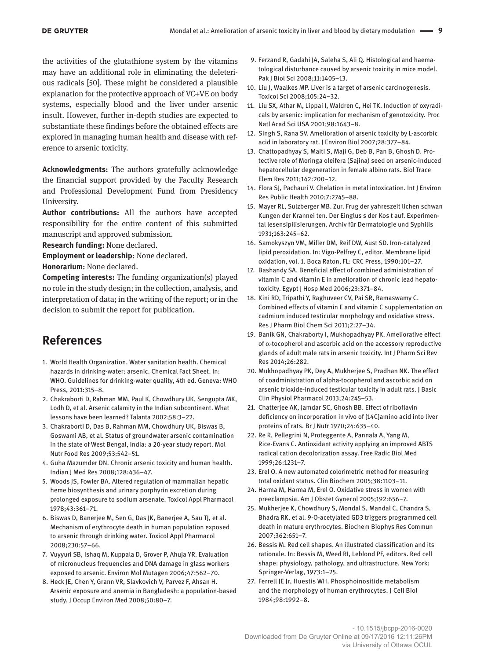the activities of the glutathione system by the vitamins may have an additional role in eliminating the deleterious radicals [50]. These might be considered a plausible explanation for the protective approach of VC+VE on body systems, especially blood and the liver under arsenic insult. However, further in-depth studies are expected to substantiate these findings before the obtained effects are explored in managing human health and disease with reference to arsenic toxicity.

**Acknowledgments:** The authors gratefully acknowledge the financial support provided by the Faculty Research and Professional Development Fund from Presidency University.

**Author contributions:** All the authors have accepted responsibility for the entire content of this submitted manuscript and approved submission.

**Research funding:** None declared.

**Employment or leadership:** None declared.

**Honorarium:** None declared.

**Competing interests:** The funding organization(s) played no role in the study design; in the collection, analysis, and interpretation of data; in the writing of the report; or in the decision to submit the report for publication.

# **References**

- 1. World Health Organization. Water sanitation health. Chemical hazards in drinking-water: arsenic. Chemical Fact Sheet. In: WHO. Guidelines for drinking-water quality, 4th ed. Geneva: WHO Press, 2011:315–8.
- 2. Chakraborti D, Rahman MM, Paul K, Chowdhury UK, Sengupta MK, Lodh D, et al. Arsenic calamity in the Indian subcontinent. What lessons have been learned? Talanta 2002;58:3–22.
- 3. Chakraborti D, Das B, Rahman MM, Chowdhury UK, Biswas B, Goswami AB, et al. Status of groundwater arsenic contamination in the state of West Bengal, India: a 20-year study report. Mol Nutr Food Res 2009;53:542–51.
- 4. Guha Mazumder DN. Chronic arsenic toxicity and human health. Indian J Med Res 2008;128:436–47.
- 5. Woods JS, Fowler BA. Altered regulation of mammalian hepatic heme biosynthesis and urinary porphyrin excretion during prolonged exposure to sodium arsenate. Toxicol Appl Pharmacol 1978;43:361–71.
- 6. Biswas D, Banerjee M, Sen G, Das JK, Banerjee A, Sau TJ, et al. Mechanism of erythrocyte death in human population exposed to arsenic through drinking water. Toxicol Appl Pharmacol 2008;230:57–66.
- 7. Vuyyuri SB, Ishaq M, Kuppala D, Grover P, Ahuja YR. Evaluation of micronucleus frequencies and DNA damage in glass workers exposed to arsenic. Environ Mol Mutagen 2006;47:562–70.
- 8. Heck JE, Chen Y, Grann VR, Slavkovich V, Parvez F, Ahsan H. Arsenic exposure and anemia in Bangladesh: a population-based study. J Occup Environ Med 2008;50:80–7.
- 9. Ferzand R, Gadahi JA, Saleha S, Ali Q. Histological and haematological disturbance caused by arsenic toxicity in mice model. Pak J Biol Sci 2008;11:1405–13.
- 10. Liu J, Waalkes MP. Liver is a target of arsenic carcinogenesis. Toxicol Sci 2008;105:24–32.
- 11. Liu SX, Athar M, Lippai I, Waldren C, Hei TK. Induction of oxyradicals by arsenic: implication for mechanism of genotoxicity. Proc Natl Acad Sci USA 2001;98:1643–8.
- 12. Singh S, Rana SV. Amelioration of arsenic toxicity by L-ascorbic acid in laboratory rat. J Environ Biol 2007;28:377–84.
- 13. Chattopadhyay S, Maiti S, Maji G, Deb B, Pan B, Ghosh D. Protective role of Moringa oleifera (Sajina) seed on arsenic-induced hepatocellular degeneration in female albino rats. Biol Trace Elem Res 2011;142:200–12.
- 14. Flora SJ, Pachauri V. Chelation in metal intoxication. Int J Environ Res Public Health 2010;7:2745–88.
- 15. Mayer RL, Sulzberger MB. Zur. Frug der yahreszeit lichen schwan Kungen der Krannei ten. Der Einglus s der Kos t auf. Experimental lesensipilisierungen. Archiv für Dermatologie und Syphilis 1931;163:245–62.
- 16. Samokyszyn VM, Miller DM, Reif DW, Aust SD. Iron-catalyzed lipid peroxidation. In: Vigo-Pelfrey C, editor. Membrane lipid oxidation, vol. 1. Boca Raton, FL: CRC Press, 1990:101–27.
- 17. Bashandy SA. Beneficial effect of combined administration of vitamin C and vitamin E in amelioration of chronic lead hepatotoxicity. Egypt J Hosp Med 2006;23:371–84.
- 18. Kini RD, Tripathi Y, Raghuveer CV, Pai SR, Ramaswamy C. Combined effects of vitamin E and vitamin C supplementation on cadmium induced testicular morphology and oxidative stress. Res J Pharm Biol Chem Sci 2011;2:27–34.
- 19. Banik GN, Chakraborty I, Mukhopadhyay PK. Ameliorative effect of α-tocopherol and ascorbic acid on the accessory reproductive glands of adult male rats in arsenic toxicity. Int J Pharm Sci Rev Res 2014;26:282.
- 20. Mukhopadhyay PK, Dey A, Mukherjee S, Pradhan NK. The effect of coadministration of alpha-tocopherol and ascorbic acid on arsenic trioxide-induced testicular toxicity in adult rats. J Basic Clin Physiol Pharmacol 2013;24:245–53.
- 21. Chatterjee AK, Jamdar SC, Ghosh BB. Effect of riboflavin deficiency on incorporation in vivo of [14C]amino acid into liver proteins of rats. Br J Nutr 1970;24:635–40.
- 22. Re R, Pellegrini N, Proteggente A, Pannala A, Yang M, Rice-Evans C. Antioxidant activity applying an improved ABTS radical cation decolorization assay. Free Radic Biol Med 1999;26:1231–7.
- 23. Erel O. A new automated colorimetric method for measuring total oxidant status. Clin Biochem 2005;38:1103–11.
- 24. Harma M, Harma M, Erel O. Oxidative stress in women with preeclampsia. Am J Obstet Gynecol 2005;192:656–7.
- 25. Mukherjee K, Chowdhury S, Mondal S, Mandal C, Chandra S, Bhadra RK, et al. 9-O-acetylated GD3 triggers programmed cell death in mature erythrocytes. Biochem Biophys Res Commun 2007;362:651–7.
- 26. Bessis M. Red cell shapes. An illustrated classification and its rationale. In: Bessis M, Weed RI, Leblond PF, editors. Red cell shape: physiology, pathology, and ultrastructure. New York: Springer-Verlag, 1973:1–25.
- 27. Ferrell JE Jr, Huestis WH. Phosphoinositide metabolism and the morphology of human erythrocytes. J Cell Biol 1984;98:1992–8.